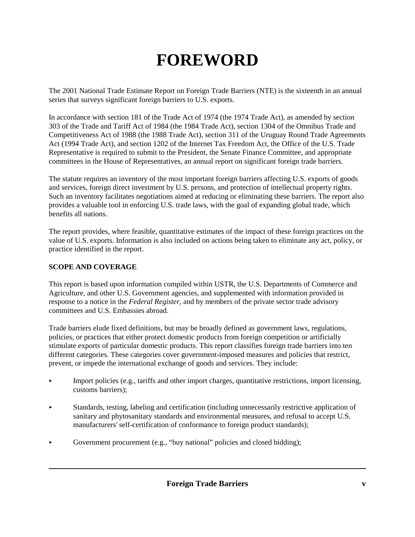# **FOREWORD**

The 2001 National Trade Estimate Report on Foreign Trade Barriers (NTE) is the sixteenth in an annual series that surveys significant foreign barriers to U.S. exports.

In accordance with section 181 of the Trade Act of 1974 (the 1974 Trade Act), as amended by section 303 of the Trade and Tariff Act of 1984 (the 1984 Trade Act), section 1304 of the Omnibus Trade and Competitiveness Act of 1988 (the 1988 Trade Act), section 311 of the Uruguay Round Trade Agreements Act (1994 Trade Act), and section 1202 of the Internet Tax Freedom Act, the Office of the U.S. Trade Representative is required to submit to the President, the Senate Finance Committee, and appropriate committees in the House of Representatives, an annual report on significant foreign trade barriers.

The statute requires an inventory of the most important foreign barriers affecting U.S. exports of goods and services, foreign direct investment by U.S. persons, and protection of intellectual property rights. Such an inventory facilitates negotiations aimed at reducing or eliminating these barriers. The report also provides a valuable tool in enforcing U.S. trade laws, with the goal of expanding global trade, which benefits all nations.

The report provides, where feasible, quantitative estimates of the impact of these foreign practices on the value of U.S. exports. Information is also included on actions being taken to eliminate any act, policy, or practice identified in the report.

### **SCOPE AND COVERAGE**

This report is based upon information compiled within USTR, the U.S. Departments of Commerce and Agriculture, and other U.S. Government agencies, and supplemented with information provided in response to a notice in the *Federal Register,* and by members of the private sector trade advisory committees and U.S. Embassies abroad.

Trade barriers elude fixed definitions, but may be broadly defined as government laws, regulations, policies, or practices that either protect domestic products from foreign competition or artificially stimulate exports of particular domestic products. This report classifies foreign trade barriers into ten different categories. These categories cover government-imposed measures and policies that restrict, prevent, or impede the international exchange of goods and services. They include:

- $\mathbf{r}$  Import policies (e.g., tariffs and other import charges, quantitative restrictions, import licensing, customs barriers);
- ×. Standards, testing, labeling and certification (including unnecessarily restrictive application of sanitary and phytosanitary standards and environmental measures, and refusal to accept U.S. manufacturers' self-certification of conformance to foreign product standards);
- L. Government procurement (e.g., "buy national" policies and closed bidding);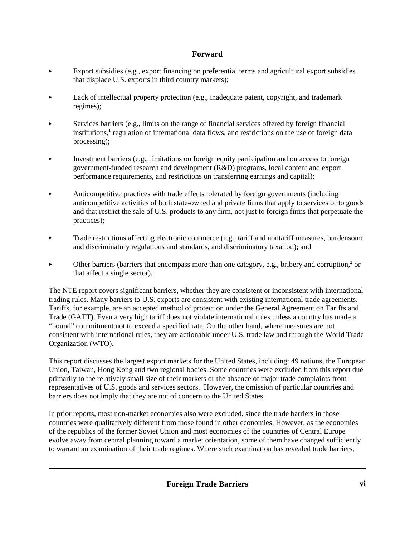- k. Export subsidies (e.g., export financing on preferential terms and agricultural export subsidies that displace U.S. exports in third country markets);
- ь Lack of intellectual property protection (e.g., inadequate patent, copyright, and trademark regimes);
- $\mathbf{r}$  Services barriers (e.g., limits on the range of financial services offered by foreign financial institutions,<sup>1</sup> regulation of international data flows, and restrictions on the use of foreign data processing);
- ь Investment barriers (e.g., limitations on foreign equity participation and on access to foreign government-funded research and development (R&D) programs, local content and export performance requirements, and restrictions on transferring earnings and capital);
- $\ddot{\phantom{1}}$  Anticompetitive practices with trade effects tolerated by foreign governments (including anticompetitive activities of both state-owned and private firms that apply to services or to goods and that restrict the sale of U.S. products to any firm, not just to foreign firms that perpetuate the practices);
- $\mathbf{r}$  Trade restrictions affecting electronic commerce (e.g., tariff and nontariff measures, burdensome and discriminatory regulations and standards, and discriminatory taxation); and
- $\mathbf{r}$  $\triangleright$  Other barriers (barriers that encompass more than one category, e.g., bribery and corruption,<sup>2</sup> or that affect a single sector).

The NTE report covers significant barriers, whether they are consistent or inconsistent with international trading rules. Many barriers to U.S. exports are consistent with existing international trade agreements. Tariffs, for example, are an accepted method of protection under the General Agreement on Tariffs and Trade (GATT). Even a very high tariff does not violate international rules unless a country has made a "bound" commitment not to exceed a specified rate. On the other hand, where measures are not consistent with international rules, they are actionable under U.S. trade law and through the World Trade Organization (WTO).

This report discusses the largest export markets for the United States, including: 49 nations, the European Union, Taiwan, Hong Kong and two regional bodies. Some countries were excluded from this report due primarily to the relatively small size of their markets or the absence of major trade complaints from representatives of U.S. goods and services sectors. However, the omission of particular countries and barriers does not imply that they are not of concern to the United States.

In prior reports, most non-market economies also were excluded, since the trade barriers in those countries were qualitatively different from those found in other economies. However, as the economies of the republics of the former Soviet Union and most economies of the countries of Central Europe evolve away from central planning toward a market orientation, some of them have changed sufficiently to warrant an examination of their trade regimes. Where such examination has revealed trade barriers,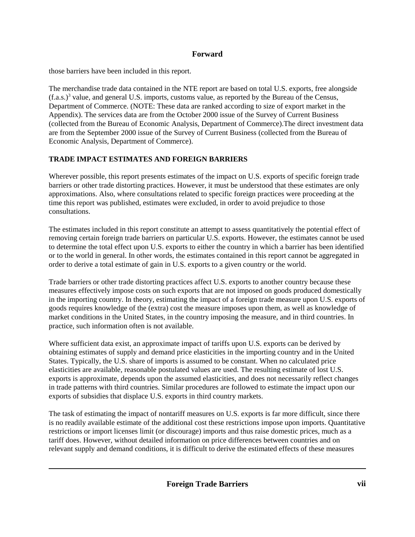those barriers have been included in this report.

The merchandise trade data contained in the NTE report are based on total U.S. exports, free alongside  $(f.a.s.)<sup>3</sup>$  value, and general U.S. imports, customs value, as reported by the Bureau of the Census, Department of Commerce. (NOTE: These data are ranked according to size of export market in the Appendix). The services data are from the October 2000 issue of the Survey of Current Business (collected from the Bureau of Economic Analysis, Department of Commerce).The direct investment data are from the September 2000 issue of the Survey of Current Business (collected from the Bureau of Economic Analysis, Department of Commerce).

# **TRADE IMPACT ESTIMATES AND FOREIGN BARRIERS**

Wherever possible, this report presents estimates of the impact on U.S. exports of specific foreign trade barriers or other trade distorting practices. However, it must be understood that these estimates are only approximations. Also, where consultations related to specific foreign practices were proceeding at the time this report was published, estimates were excluded, in order to avoid prejudice to those consultations.

The estimates included in this report constitute an attempt to assess quantitatively the potential effect of removing certain foreign trade barriers on particular U.S. exports. However, the estimates cannot be used to determine the total effect upon U.S. exports to either the country in which a barrier has been identified or to the world in general. In other words, the estimates contained in this report cannot be aggregated in order to derive a total estimate of gain in U.S. exports to a given country or the world.

Trade barriers or other trade distorting practices affect U.S. exports to another country because these measures effectively impose costs on such exports that are not imposed on goods produced domestically in the importing country. In theory, estimating the impact of a foreign trade measure upon U.S. exports of goods requires knowledge of the (extra) cost the measure imposes upon them, as well as knowledge of market conditions in the United States, in the country imposing the measure, and in third countries. In practice, such information often is not available.

Where sufficient data exist, an approximate impact of tariffs upon U.S. exports can be derived by obtaining estimates of supply and demand price elasticities in the importing country and in the United States. Typically, the U.S. share of imports is assumed to be constant. When no calculated price elasticities are available, reasonable postulated values are used. The resulting estimate of lost U.S. exports is approximate, depends upon the assumed elasticities, and does not necessarily reflect changes in trade patterns with third countries. Similar procedures are followed to estimate the impact upon our exports of subsidies that displace U.S. exports in third country markets.

The task of estimating the impact of nontariff measures on U.S. exports is far more difficult, since there is no readily available estimate of the additional cost these restrictions impose upon imports. Quantitative restrictions or import licenses limit (or discourage) imports and thus raise domestic prices, much as a tariff does. However, without detailed information on price differences between countries and on relevant supply and demand conditions, it is difficult to derive the estimated effects of these measures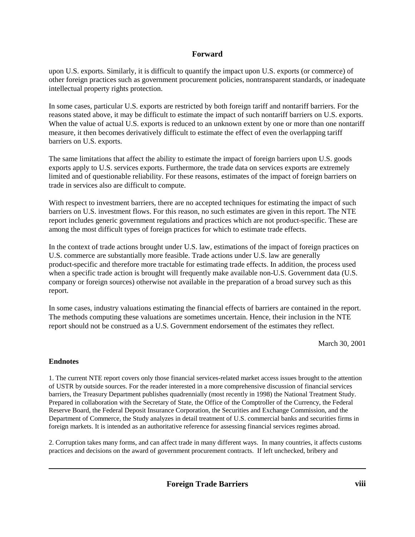upon U.S. exports. Similarly, it is difficult to quantify the impact upon U.S. exports (or commerce) of other foreign practices such as government procurement policies, nontransparent standards, or inadequate intellectual property rights protection.

In some cases, particular U.S. exports are restricted by both foreign tariff and nontariff barriers. For the reasons stated above, it may be difficult to estimate the impact of such nontariff barriers on U.S. exports. When the value of actual U.S. exports is reduced to an unknown extent by one or more than one nontariff measure, it then becomes derivatively difficult to estimate the effect of even the overlapping tariff barriers on U.S. exports.

The same limitations that affect the ability to estimate the impact of foreign barriers upon U.S. goods exports apply to U.S. services exports. Furthermore, the trade data on services exports are extremely limited and of questionable reliability. For these reasons, estimates of the impact of foreign barriers on trade in services also are difficult to compute.

With respect to investment barriers, there are no accepted techniques for estimating the impact of such barriers on U.S. investment flows. For this reason, no such estimates are given in this report. The NTE report includes generic government regulations and practices which are not product-specific. These are among the most difficult types of foreign practices for which to estimate trade effects.

In the context of trade actions brought under U.S. law, estimations of the impact of foreign practices on U.S. commerce are substantially more feasible. Trade actions under U.S. law are generally product-specific and therefore more tractable for estimating trade effects. In addition, the process used when a specific trade action is brought will frequently make available non-U.S. Government data (U.S. company or foreign sources) otherwise not available in the preparation of a broad survey such as this report.

In some cases, industry valuations estimating the financial effects of barriers are contained in the report. The methods computing these valuations are sometimes uncertain. Hence, their inclusion in the NTE report should not be construed as a U.S. Government endorsement of the estimates they reflect.

March 30, 2001

#### **Endnotes**

1. The current NTE report covers only those financial services-related market access issues brought to the attention of USTR by outside sources. For the reader interested in a more comprehensive discussion of financial services barriers, the Treasury Department publishes quadrennially (most recently in 1998) the National Treatment Study. Prepared in collaboration with the Secretary of State, the Office of the Comptroller of the Currency, the Federal Reserve Board, the Federal Deposit Insurance Corporation, the Securities and Exchange Commission, and the Department of Commerce, the Study analyzes in detail treatment of U.S. commercial banks and securities firms in foreign markets. It is intended as an authoritative reference for assessing financial services regimes abroad.

2. Corruption takes many forms, and can affect trade in many different ways. In many countries, it affects customs practices and decisions on the award of government procurement contracts. If left unchecked, bribery and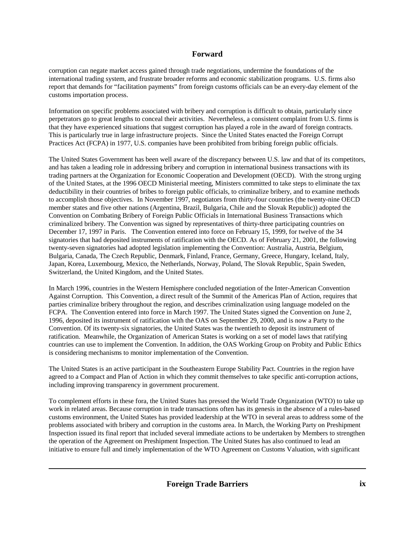corruption can negate market access gained through trade negotiations, undermine the foundations of the international trading system, and frustrate broader reforms and economic stabilization programs. U.S. firms also report that demands for "facilitation payments" from foreign customs officials can be an every-day element of the customs importation process.

Information on specific problems associated with bribery and corruption is difficult to obtain, particularly since perpetrators go to great lengths to conceal their activities. Nevertheless, a consistent complaint from U.S. firms is that they have experienced situations that suggest corruption has played a role in the award of foreign contracts. This is particularly true in large infrastructure projects. Since the United States enacted the Foreign Corrupt Practices Act (FCPA) in 1977, U.S. companies have been prohibited from bribing foreign public officials.

The United States Government has been well aware of the discrepancy between U.S. law and that of its competitors, and has taken a leading role in addressing bribery and corruption in international business transactions with its trading partners at the Organization for Economic Cooperation and Development (OECD). With the strong urging of the United States, at the 1996 OECD Ministerial meeting, Ministers committed to take steps to eliminate the tax deductibility in their countries of bribes to foreign public officials, to criminalize bribery, and to examine methods to accomplish those objectives. In November 1997, negotiators from thirty-four countries (the twenty-nine OECD member states and five other nations (Argentina, Brazil, Bulgaria, Chile and the Slovak Republic)) adopted the Convention on Combating Bribery of Foreign Public Officials in International Business Transactions which criminalized bribery. The Convention was signed by representatives of thirty-three participating countries on December 17, 1997 in Paris. The Convention entered into force on February 15, 1999, for twelve of the 34 signatories that had deposited instruments of ratification with the OECD. As of February 21, 2001, the following twenty-seven signatories had adopted legislation implementing the Convention: Australia, Austria, Belgium, Bulgaria, Canada, The Czech Republic, Denmark, Finland, France, Germany, Greece, Hungary, Iceland, Italy, Japan, Korea, Luxembourg, Mexico, the Netherlands, Norway, Poland, The Slovak Republic, Spain Sweden, Switzerland, the United Kingdom, and the United States.

In March 1996, countries in the Western Hemisphere concluded negotiation of the Inter-American Convention Against Corruption. This Convention, a direct result of the Summit of the Americas Plan of Action, requires that parties criminalize bribery throughout the region, and describes criminalization using language modeled on the FCPA. The Convention entered into force in March 1997. The United States signed the Convention on June 2, 1996, deposited its instrument of ratification with the OAS on September 29, 2000, and is now a Party to the Convention. Of its twenty-six signatories, the United States was the twentieth to deposit its instrument of ratification. Meanwhile, the Organization of American States is working on a set of model laws that ratifying countries can use to implement the Convention. In addition, the OAS Working Group on Probity and Public Ethics is considering mechanisms to monitor implementation of the Convention.

The United States is an active participant in the Southeastern Europe Stability Pact. Countries in the region have agreed to a Compact and Plan of Action in which they commit themselves to take specific anti-corruption actions, including improving transparency in government procurement.

To complement efforts in these fora, the United States has pressed the World Trade Organization (WTO) to take up work in related areas. Because corruption in trade transactions often has its genesis in the absence of a rules-based customs environment, the United States has provided leadership at the WTO in several areas to address some of the problems associated with bribery and corruption in the customs area. In March, the Working Party on Preshipment Inspection issued its final report that included several immediate actions to be undertaken by Members to strengthen the operation of the Agreement on Preshipment Inspection. The United States has also continued to lead an initiative to ensure full and timely implementation of the WTO Agreement on Customs Valuation, with significant